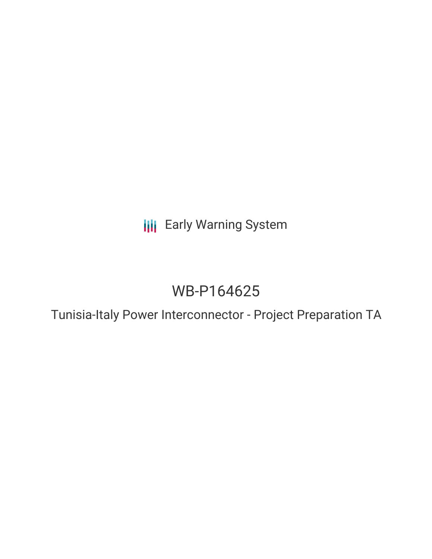**III** Early Warning System

# WB-P164625

Tunisia-Italy Power Interconnector - Project Preparation TA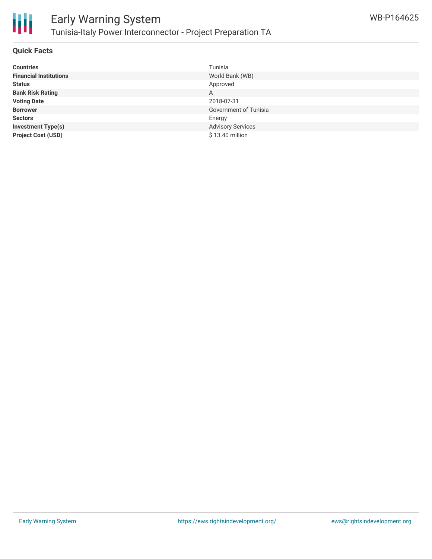

### **Quick Facts**

| <b>Countries</b>              | Tunisia                  |
|-------------------------------|--------------------------|
| <b>Financial Institutions</b> | World Bank (WB)          |
| <b>Status</b>                 | Approved                 |
| <b>Bank Risk Rating</b>       | A                        |
| <b>Voting Date</b>            | 2018-07-31               |
| <b>Borrower</b>               | Government of Tunisia    |
| <b>Sectors</b>                | Energy                   |
| <b>Investment Type(s)</b>     | <b>Advisory Services</b> |
| <b>Project Cost (USD)</b>     | \$13.40 million          |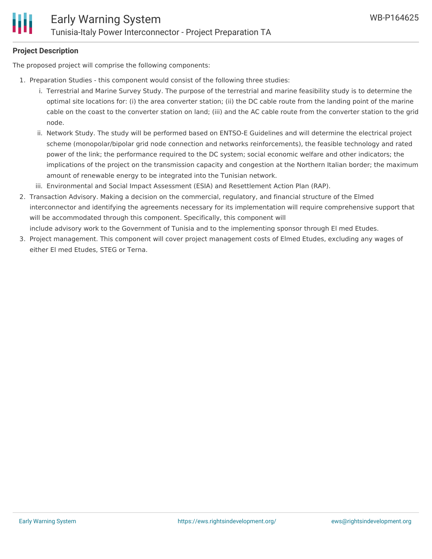#### **Project Description**

The proposed project will comprise the following components:

- 1. Preparation Studies this component would consist of the following three studies:
	- i. Terrestrial and Marine Survey Study. The purpose of the terrestrial and marine feasibility study is to determine the optimal site locations for: (i) the area converter station; (ii) the DC cable route from the landing point of the marine cable on the coast to the converter station on land; (iii) and the AC cable route from the converter station to the grid node.
	- ii. Network Study. The study will be performed based on ENTSO-E Guidelines and will determine the electrical project scheme (monopolar/bipolar grid node connection and networks reinforcements), the feasible technology and rated power of the link; the performance required to the DC system; social economic welfare and other indicators; the implications of the project on the transmission capacity and congestion at the Northern Italian border; the maximum amount of renewable energy to be integrated into the Tunisian network.
	- iii. Environmental and Social Impact Assessment (ESIA) and Resettlement Action Plan (RAP).
- 2. Transaction Advisory. Making a decision on the commercial, regulatory, and financial structure of the Elmed interconnector and identifying the agreements necessary for its implementation will require comprehensive support that will be accommodated through this component. Specifically, this component will include advisory work to the Government of Tunisia and to the implementing sponsor through El med Etudes.
- 3. Project management. This component will cover project management costs of Elmed Etudes, excluding any wages of either El med Etudes, STEG or Terna.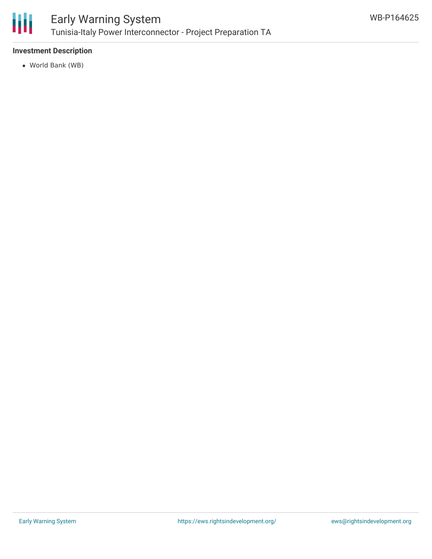

## **Investment Description**

World Bank (WB)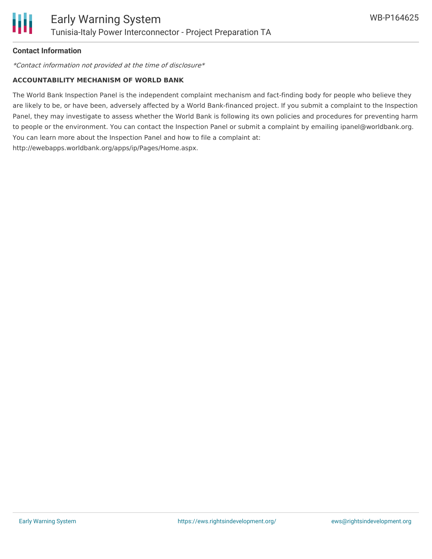

## **Contact Information**

\*Contact information not provided at the time of disclosure\*

#### **ACCOUNTABILITY MECHANISM OF WORLD BANK**

The World Bank Inspection Panel is the independent complaint mechanism and fact-finding body for people who believe they are likely to be, or have been, adversely affected by a World Bank-financed project. If you submit a complaint to the Inspection Panel, they may investigate to assess whether the World Bank is following its own policies and procedures for preventing harm to people or the environment. You can contact the Inspection Panel or submit a complaint by emailing ipanel@worldbank.org. You can learn more about the Inspection Panel and how to file a complaint at: http://ewebapps.worldbank.org/apps/ip/Pages/Home.aspx.